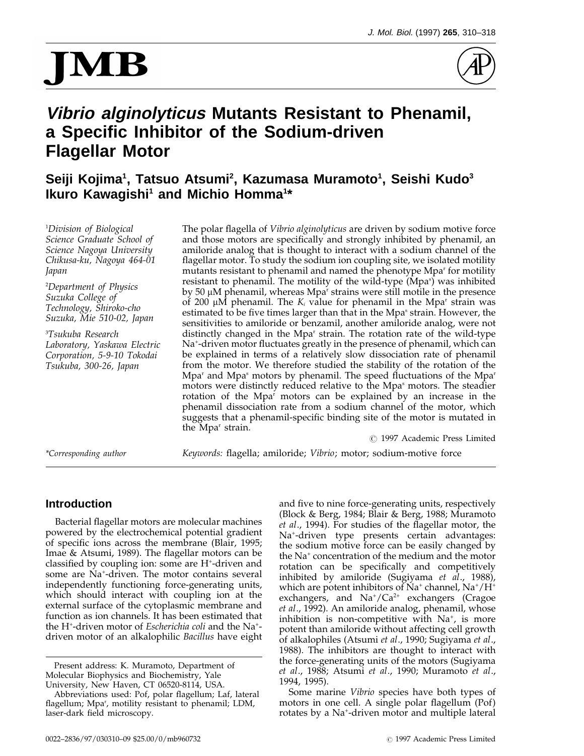# **MB**



# **Vibrio alginolyticus Mutants Resistant to Phenamil, a Specific Inhibitor of the Sodium-driven Flagellar Motor**

## **Seiji Kojima1 , Tatsuo Atsumi2 , Kazumasa Muramoto1 , Seishi Kudo3** Ikuro Kawagishi<sup>1</sup> and Michio Homma<sup>1\*</sup>

*Division of Biological*

*Tsukuba Research*

The polar flagella of *Vibrio alginolyticus* are driven by sodium motive force <sup>1</sup> *Science Graduate School of* and those motors are specifically and strongly inhibited by phenamil, an *Science Nagoya University* amiloride analog that is thought to interact with a sodium channel of the *Chikusa-ku, Nagoya 464-01* flagellar motor. To study the sodium ion coupling site, we isolated motility *Japan* mutants resistant to phenamil and named the phenotype Mpa<sup>r</sup> for motility resistant to phenamil. The motility of the wild-type (Mpa<sup>s</sup>) was inhibited Propartment of Physics<br>
Suzuka College of by 50  $\mu$ M phenamil, whereas Mpa<sup>r</sup> strains were still motile in the presence<br>
Technology, Shiroko-cho of 200  $\mu$ M phenamil. The K<sub>i</sub> value for phenamil in the Mpa<sup>r</sup> strain was distinctly changed in the Mpa<sup>r</sup> strain. The rotation rate of the wild-type Na<sup>+</sup>-driven motor fluctuates greatly in the presence of phenamil, which can *Corporation, 5-9-10 Tokodai* be explained in terms of a relatively slow dissociation rate of phenamil *Tsukuba, 300-26, Japan* from the motor. We therefore studied the stability of the rotation of the Mpa<sup>r</sup> and Mpa<sup>s</sup> motors by phenamil. The speed fluctuations of the Mpa<sup>r</sup> motors were distinctly reduced relative to the Mpa<sup>s</sup> motors. The steadier rotation of the Mpa<sup>r</sup> motors can be explained by an increase in the phenamil dissociation rate from a sodium channel of the motor, which suggests that a phenamil-specific binding site of the motor is mutated in the Mpa<sup>r</sup> strain.

7 1997 Academic Press Limited

*\*Corresponding author Keywords:* flagella; amiloride; *Vibrio*; motor; sodium-motive force

### **Introduction**

Bacterial flagellar motors are molecular machines powered by the electrochemical potential gradient of specific ions across the membrane (Blair, 1995; Imae & Atsumi, 1989). The flagellar motors can be classified by coupling ion: some are H+ -driven and some are Na+ -driven. The motor contains several independently functioning force-generating units, which should interact with coupling ion at the external surface of the cytoplasmic membrane and function as ion channels. It has been estimated that the H+ -driven motor of *Escherichia coli* and the Na+ driven motor of an alkalophilic *Bacillus* have eight and five to nine force-generating units, respectively (Block & Berg, 1984; Blair & Berg, 1988; Muramoto *et al*., 1994). For studies of the flagellar motor, the Na+ -driven type presents certain advantages: the sodium motive force can be easily changed by the Na+ concentration of the medium and the motor rotation can be specifically and competitively inhibited by amiloride (Sugiyama *et al*., 1988), which are potent inhibitors of  $\rm Na^+$  channel,  $\rm Na^+/H^+$ exchangers, and Na<sup>+</sup>/Ca<sup>2+</sup> exchangers (Cragoe *et al*., 1992). An amiloride analog, phenamil, whose inhibition is non-competitive with  $Na<sup>+</sup>$ , is more potent than amiloride without affecting cell growth of alkalophiles (Atsumi *et al*., 1990; Sugiyama *et al*., 1988). The inhibitors are thought to interact with the force-generating units of the motors (Sugiyama *et al*., 1988; Atsumi *et al*., 1990; Muramoto *et al*., 1994, 1995).

Some marine *Vibrio* species have both types of motors in one cell. A single polar flagellum (Pof) rotates by a Na+ -driven motor and multiple lateral

Present address: K. Muramoto, Department of Molecular Biophysics and Biochemistry, Yale University, New Haven, CT 06520-8114, USA.

Abbreviations used: Pof, polar flagellum; Laf, lateral flagellum; Mpa<sup>r</sup>, motility resistant to phenamil; LDM, laser-dark field microscopy.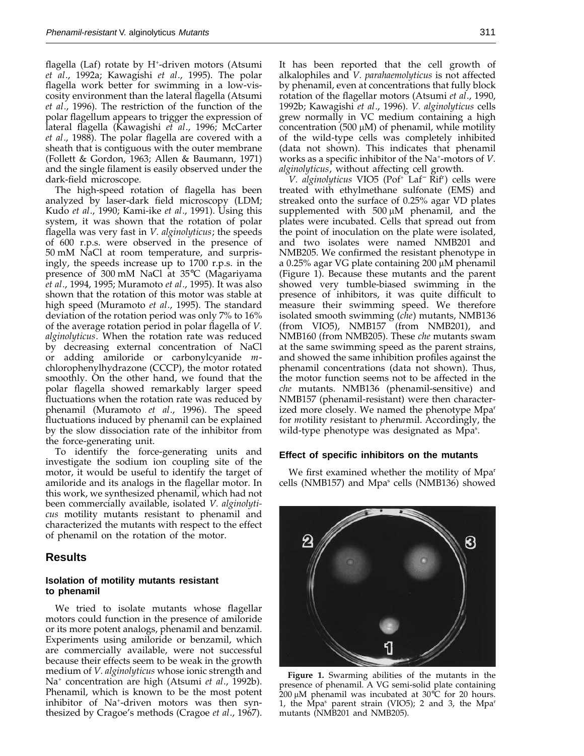flagella (Laf) rotate by H<sup>+</sup>-driven motors (Atsumi *et al*., 1992a; Kawagishi *et al*., 1995). The polar flagella work better for swimming in a low-viscosity environment than the lateral flagella (Atsumi *et al*., 1996). The restriction of the function of the polar flagellum appears to trigger the expression of lateral flagella (Kawagishi *et al*., 1996; McCarter *et al*., 1988). The polar flagella are covered with a sheath that is contiguous with the outer membrane (Follett & Gordon, 1963; Allen & Baumann, 1971) and the single filament is easily observed under the dark-field microscope.

The high-speed rotation of flagella has been analyzed by laser-dark field microscopy (LDM; Kudo *et al*., 1990; Kami-ike *et al*., 1991). Using this system, it was shown that the rotation of polar flagella was very fast in *V. alginolyticus*; the speeds of 600 r.p.s. were observed in the presence of 50 mM NaCl at room temperature, and surprisingly, the speeds increase up to 1700 r.p.s. in the presence of 300 mM NaCl at 35°C (Magariyama *et al*., 1994, 1995; Muramoto *et al*., 1995). It was also shown that the rotation of this motor was stable at high speed (Muramoto *et al*., 1995). The standard deviation of the rotation period was only 7% to 16% of the average rotation period in polar flagella of *V. alginolyticus*. When the rotation rate was reduced by decreasing external concentration of NaCl or adding amiloride or carbonylcyanide *m*chlorophenylhydrazone (CCCP), the motor rotated smoothly. On the other hand, we found that the polar flagella showed remarkably larger speed fluctuations when the rotation rate was reduced by phenamil (Muramoto *et al*., 1996). The speed fluctuations induced by phenamil can be explained by the slow dissociation rate of the inhibitor from the force-generating unit.

To identify the force-generating units and investigate the sodium ion coupling site of the motor, it would be useful to identify the target of amiloride and its analogs in the flagellar motor. In this work, we synthesized phenamil, which had not been commercially available, isolated *V. alginolyticus* motility mutants resistant to phenamil and characterized the mutants with respect to the effect of phenamil on the rotation of the motor.

#### **Results**

#### **Isolation of motility mutants resistant to phenamil**

We tried to isolate mutants whose flagellar motors could function in the presence of amiloride or its more potent analogs, phenamil and benzamil. Experiments using amiloride or benzamil, which are commercially available, were not successful because their effects seem to be weak in the growth medium of *V. alginolyticus* whose ionic strength and Na+ concentration are high (Atsumi *et al*., 1992b). Phenamil, which is known to be the most potent inhibitor of Na+ -driven motors was then synthesized by Cragoe's methods (Cragoe *et al*., 1967). It has been reported that the cell growth of alkalophiles and *V. parahaemolyticus* is not affected by phenamil, even at concentrations that fully block rotation of the flagellar motors (Atsumi *et al*., 1990, 1992b; Kawagishi *et al*., 1996). *V. alginolyticus* cells grew normally in VC medium containing a high concentration (500  $\mu$ M) of phenamil, while motility of the wild-type cells was completely inhibited (data not shown). This indicates that phenamil works as a specific inhibitor of the Na+ -motors of *V. alginolyticus*, without affecting cell growth.

*V. alginolyticus* VIO5 (Pof+ Laf<sup>−</sup> Rifr ) cells were treated with ethylmethane sulfonate (EMS) and streaked onto the surface of 0.25% agar VD plates supplemented with  $500 \mu M$  phenamil, and the plates were incubated. Cells that spread out from the point of inoculation on the plate were isolated, and two isolates were named NMB201 and NMB205. We confirmed the resistant phenotype in a 0.25% agar VG plate containing 200  $\mu$ M phenamil (Figure 1). Because these mutants and the parent showed very tumble-biased swimming in the presence of inhibitors, it was quite difficult to measure their swimming speed. We therefore isolated smooth swimming (*che*) mutants, NMB136 (from VIO5), NMB157 (from NMB201), and NMB160 (from NMB205). These *che* mutants swam at the same swimming speed as the parent strains, and showed the same inhibition profiles against the phenamil concentrations (data not shown). Thus, the motor function seems not to be affected in the *che* mutants. NMB136 (phenamil-sensitive) and NMB157 (phenamil-resistant) were then characterized more closely. We named the phenotype Mpa<sup>r</sup> for *m*otility *r*esistant to *p*hen*a*mil. Accordingly, the wild-type phenotype was designated as Mpa<sup>s</sup>.

#### **Effect of specific inhibitors on the mutants**

We first examined whether the motility of Mpa<sup>r</sup> cells (NMB157) and Mpa<sup>s</sup> cells (NMB136) showed

**Figure 1.** Swarming abilities of the mutants in the presence of phenamil. A VG semi-solid plate containing 200  $\mu$ M phenamil was incubated at 30 $\degree$ C for 20 hours. 1, the  $\widehat{M}$ pa<sup>s</sup> parent strain (VIO5); 2 and 3, the Mpa<sup>r</sup>

mutants (NMB201 and NMB205).

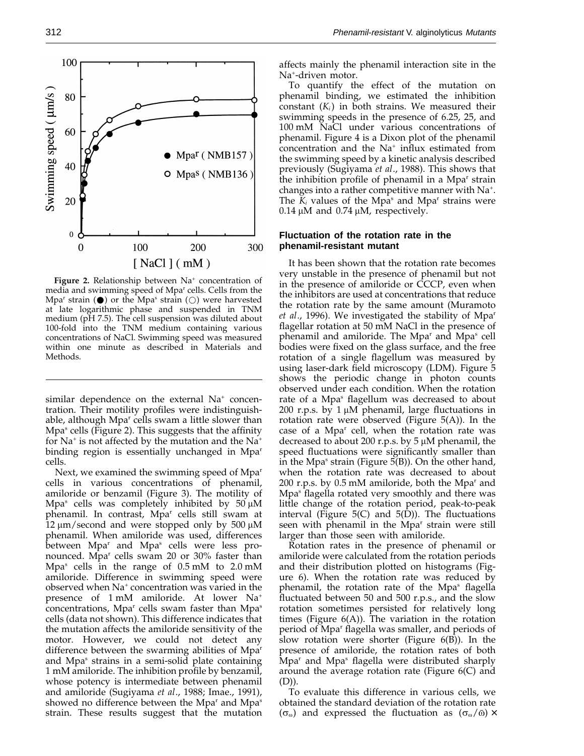

Figure 2. Relationship between Na<sup>+</sup> concentration of media and swimming speed of Mpar cells. Cells from the Mpa<sup>r</sup> strain ( $\bullet$ ) or the Mpa<sup>s</sup> strain ( $\circ$ ) were harvested at late logarithmic phase and suspended in TNM medium (pH 7.5). The cell suspension was diluted about 100-fold into the TNM medium containing various concentrations of NaCl. Swimming speed was measured within one minute as described in Materials and Methods.

similar dependence on the external  $Na<sup>+</sup>$  concentration. Their motility profiles were indistinguishable, although Mpar cells swam a little slower than Mpa<sup>s</sup> cells (Figure 2). This suggests that the affinity for  $Na<sup>+</sup>$  is not affected by the mutation and the  $Na<sup>+</sup>$ binding region is essentially unchanged in Mpa<sup>r</sup> cells.

Next, we examined the swimming speed of Mpa<sup>r</sup> cells in various concentrations of phenamil, amiloride or benzamil (Figure 3). The motility of Mpa<sup>s</sup> cells was completely inhibited by  $50 \mu M$ phenamil. In contrast, Mpar cells still swam at  $12 \mu m$ /second and were stopped only by 500  $\mu$ M phenamil. When amiloride was used, differences between Mpa<sup>r</sup> and Mpa<sup>s</sup> cells were less pronounced. Mpa<sup>r</sup> cells swam 20 or 30% faster than Mpas cells in the range of 0.5 mM to 2.0 mM amiloride. Difference in swimming speed were observed when Na<sup>+</sup> concentration was varied in the presence of 1 mM amiloride. At lower Na+ concentrations, Mpa<sup>r</sup> cells swam faster than Mpa<sup>s</sup> cells (data not shown). This difference indicates that the mutation affects the amiloride sensitivity of the motor. However, we could not detect any difference between the swarming abilities of Mpa<sup>r</sup> and Mpa<sup>s</sup> strains in a semi-solid plate containing 1 mM amiloride. The inhibition profile by benzamil, whose potency is intermediate between phenamil and amiloride (Sugiyama *et al*., 1988; Imae., 1991), showed no difference between the Mpa<sup>r</sup> and Mpa<sup>s</sup> strain. These results suggest that the mutation affects mainly the phenamil interaction site in the Na+ -driven motor.

To quantify the effect of the mutation on phenamil binding, we estimated the inhibition constant  $(K_i)$  in both strains. We measured their swimming speeds in the presence of 6.25, 25, and 100 mM NaCl under various concentrations of phenamil. Figure 4 is a Dixon plot of the phenamil concentration and the Na+ influx estimated from the swimming speed by a kinetic analysis described previously (Sugiyama *et al*., 1988). This shows that the inhibition profile of phenamil in a Mpar strain changes into a rather competitive manner with Na<sup>+</sup>. The  $K_i$  values of the Mpa<sup>s</sup> and Mpa<sup>r</sup> strains were  $0.14 \mu M$  and  $0.74 \mu M$ , respectively.

#### **Fluctuation of the rotation rate in the phenamil-resistant mutant**

It has been shown that the rotation rate becomes very unstable in the presence of phenamil but not in the presence of amiloride or CCCP, even when the inhibitors are used at concentrations that reduce the rotation rate by the same amount (Muramoto *et al*., 1996). We investigated the stability of Mpar flagellar rotation at 50 mM NaCl in the presence of phenamil and amiloride. The Mpar and Mpas cell bodies were fixed on the glass surface, and the free rotation of a single flagellum was measured by using laser-dark field microscopy (LDM). Figure 5 shows the periodic change in photon counts observed under each condition. When the rotation rate of a Mpa<sup>s</sup> flagellum was decreased to about 200 r.p.s. by  $1 \mu M$  phenamil, large fluctuations in rotation rate were observed (Figure  $5(A)$ ). In the case of a Mpa<sup>r</sup> cell, when the rotation rate was decreased to about 200 r.p.s. by  $5 \mu M$  phenamil, the speed fluctuations were significantly smaller than in the Mpa<sup>s</sup> strain (Figure 5(B)). On the other hand, when the rotation rate was decreased to about 200 r.p.s. by 0.5 mM amiloride, both the Mpa<sup>r</sup> and Mpas flagella rotated very smoothly and there was little change of the rotation period, peak-to-peak interval (Figure  $5(C)$  and  $5(D)$ ). The fluctuations seen with phenamil in the Mpa<sup>r</sup> strain were still larger than those seen with amiloride.

Rotation rates in the presence of phenamil or amiloride were calculated from the rotation periods and their distribution plotted on histograms (Figure 6). When the rotation rate was reduced by phenamil, the rotation rate of the Mpa<sup>s</sup> flagella fluctuated between 50 and 500 r.p.s., and the slow rotation sometimes persisted for relatively long times (Figure 6(A)). The variation in the rotation period of Mpar flagella was smaller, and periods of slow rotation were shorter (Figure 6(B)). In the presence of amiloride, the rotation rates of both Mpar and Mpas flagella were distributed sharply around the average rotation rate (Figure  $6(C)$  and (D)).

To evaluate this difference in various cells, we obtained the standard deviation of the rotation rate  $(\sigma_{\omega})$  and expressed the fluctuation as  $(\sigma_{\omega}/\bar{\omega}) \times$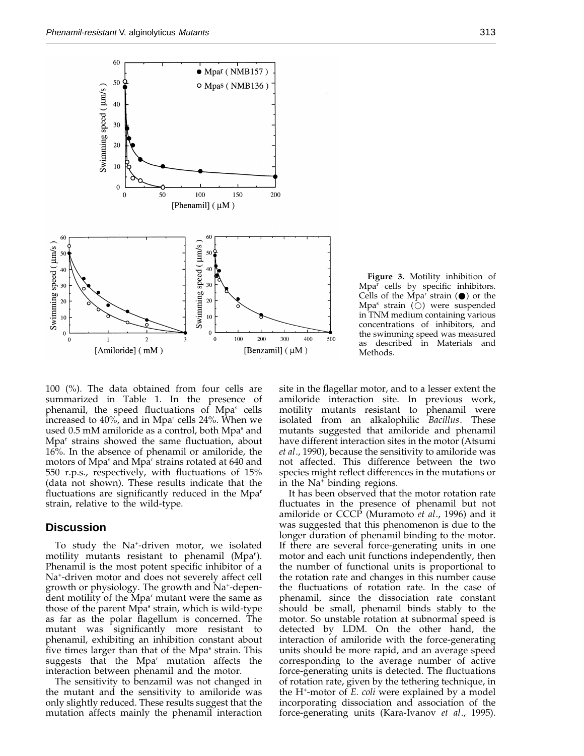

**Figure 3.** Motility inhibition of Mpa<sup>r</sup> cells by specific inhibitors. Cells of the Mpa<sup>r</sup> strain  $(\bullet)$  or the Mpa<sup>s</sup> strain  $(O)$  were suspended in TNM medium containing various concentrations of inhibitors, and the swimming speed was measured as described in Materials and Methods.

100 (%). The data obtained from four cells are summarized in Table 1. In the presence of phenamil, the speed fluctuations of Mpa<sup>s</sup> cells increased to 40%, and in Mpar cells 24%. When we used 0.5 mM amiloride as a control, both Mpa<sup>s</sup> and Mpar strains showed the same fluctuation, about 16%. In the absence of phenamil or amiloride, the motors of Mpa<sup>s</sup> and Mpa<sup>r</sup> strains rotated at 640 and 550 r.p.s., respectively, with fluctuations of 15% (data not shown). These results indicate that the fluctuations are significantly reduced in the Mpa<sup>r</sup> strain, relative to the wild-type.

#### **Discussion**

To study the Na+ -driven motor, we isolated motility mutants resistant to phenamil (Mpa<sup>r</sup>). Phenamil is the most potent specific inhibitor of a Na+ -driven motor and does not severely affect cell growth or physiology. The growth and Na+ -dependent motility of the Mpa<sup>r</sup> mutant were the same as those of the parent Mpa<sup>s</sup> strain, which is wild-type as far as the polar flagellum is concerned. The mutant was significantly more resistant to phenamil, exhibiting an inhibition constant about five times larger than that of the Mpa<sup>s</sup> strain. This suggests that the Mpar mutation affects the interaction between phenamil and the motor.

The sensitivity to benzamil was not changed in the mutant and the sensitivity to amiloride was only slightly reduced. These results suggest that the mutation affects mainly the phenamil interaction site in the flagellar motor, and to a lesser extent the amiloride interaction site. In previous work, motility mutants resistant to phenamil were isolated from an alkalophilic *Bacillus*. These mutants suggested that amiloride and phenamil have different interaction sites in the motor (Atsumi *et al*., 1990), because the sensitivity to amiloride was not affected. This difference between the two species might reflect differences in the mutations or in the Na+ binding regions.

It has been observed that the motor rotation rate fluctuates in the presence of phenamil but not amiloride or CCCP (Muramoto *et al*., 1996) and it was suggested that this phenomenon is due to the longer duration of phenamil binding to the motor. If there are several force-generating units in one motor and each unit functions independently, then the number of functional units is proportional to the rotation rate and changes in this number cause the fluctuations of rotation rate. In the case of phenamil, since the dissociation rate constant should be small, phenamil binds stably to the motor. So unstable rotation at subnormal speed is detected by LDM. On the other hand, the interaction of amiloride with the force-generating units should be more rapid, and an average speed corresponding to the average number of active force-generating units is detected. The fluctuations of rotation rate, given by the tethering technique, in the H+ -motor of *E. coli* were explained by a model incorporating dissociation and association of the force-generating units (Kara-Ivanov *et al*., 1995).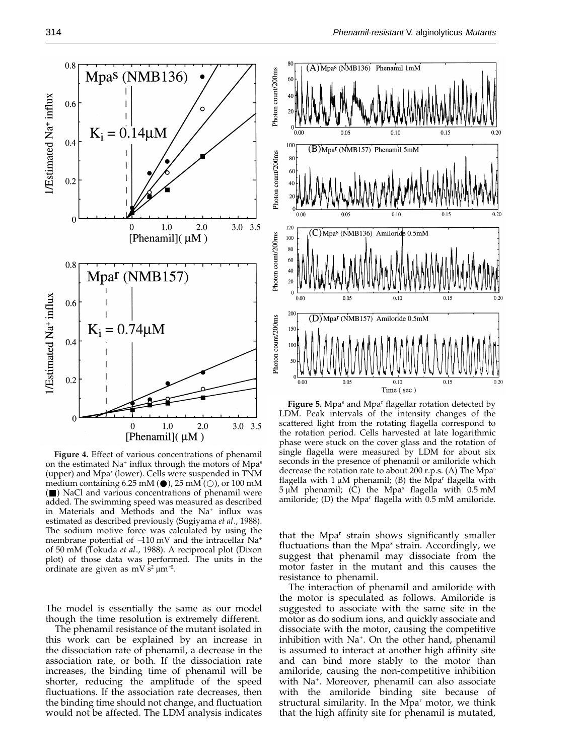

**Figure 4.** Effect of various concentrations of phenamil on the estimated Na<sup>+</sup> influx through the motors of Mpa<sup>s</sup> (upper) and Mpar (lower). Cells were suspended in TNM medium containing 6.25 mM  $(\bigcirc)$ , 25 mM  $(\bigcirc)$ , or 100 mM (Q) NaCl and various concentrations of phenamil were added. The swimming speed was measured as described in Materials and Methods and the Na<sup>+</sup> influx was estimated as described previously (Sugiyama *et al*., 1988). The sodium motive force was calculated by using the membrane potential of −110 mV and the intracellar Na<sup>+</sup> of 50 mM (Tokuda *et al*., 1988). A reciprocal plot (Dixon plot) of those data was performed. The units in the ordinate are given as mV  $s^2 \mu m^{-2}$ .

The model is essentially the same as our model though the time resolution is extremely different.

The phenamil resistance of the mutant isolated in this work can be explained by an increase in the dissociation rate of phenamil, a decrease in the association rate, or both. If the dissociation rate increases, the binding time of phenamil will be shorter, reducing the amplitude of the speed fluctuations. If the association rate decreases, then the binding time should not change, and fluctuation would not be affected. The LDM analysis indicates



Figure 5. Mpa<sup>s</sup> and Mpa<sup>r</sup> flagellar rotation detected by LDM. Peak intervals of the intensity changes of the scattered light from the rotating flagella correspond to the rotation period. Cells harvested at late logarithmic phase were stuck on the cover glass and the rotation of single flagella were measured by LDM for about six seconds in the presence of phenamil or amiloride which decrease the rotation rate to about 200 r.p.s. (A) The Mpas flagella with 1  $\mu$ M phenamil; (B) the Mpa<sup>r</sup> flagella with  $5 \mu M$  phenamil; (C) the Mpa<sup>s</sup> flagella with  $0.5 \text{ mM}$ amiloride; (D) the Mpa<sup>r</sup> flagella with 0.5 mM amiloride.

that the Mpa<sup>r</sup> strain shows significantly smaller fluctuations than the Mpa<sup>s</sup> strain. Accordingly, we suggest that phenamil may dissociate from the motor faster in the mutant and this causes the resistance to phenamil.

The interaction of phenamil and amiloride with the motor is speculated as follows. Amiloride is suggested to associate with the same site in the motor as do sodium ions, and quickly associate and dissociate with the motor, causing the competitive inhibition with  $Na<sup>+</sup>$ . On the other hand, phenamil is assumed to interact at another high affinity site and can bind more stably to the motor than amiloride, causing the non-competitive inhibition with Na<sup>+</sup>. Moreover, phenamil can also associate with the amiloride binding site because of structural similarity. In the Mpa<sup>r</sup> motor, we think that the high affinity site for phenamil is mutated,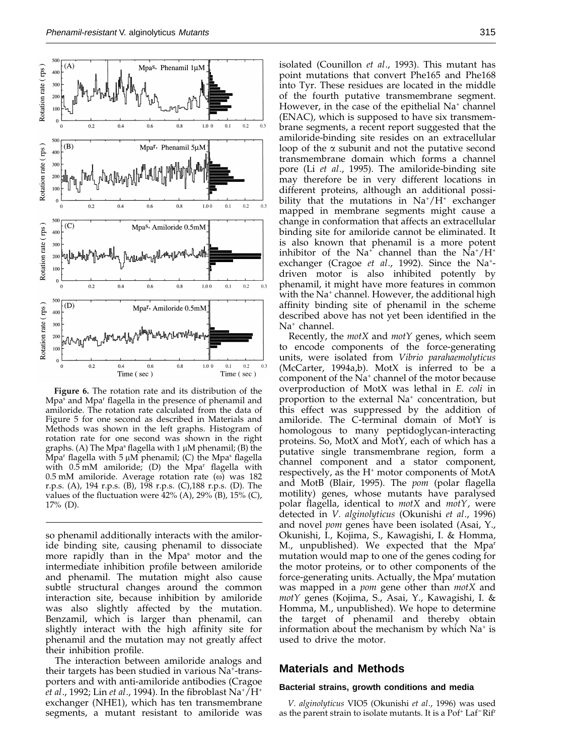



**Figure 6.** The rotation rate and its distribution of the Mpa<sup>s</sup> and Mpa<sup>r</sup> flagella in the presence of phenamil and amiloride. The rotation rate calculated from the data of Figure 5 for one second as described in Materials and Methods was shown in the left graphs. Histogram of rotation rate for one second was shown in the right graphs. (A) The Mpa<sup>s</sup> flagella with 1  $\mu$ M phenamil; (B) the Mpa<sup>r</sup> flagella with 5  $\mu$ M phenamil; (C) the Mpa<sup>s</sup> flagella with  $0.5 \text{ mM}$  amiloride; (D) the Mpa<sup>r</sup> flagella with  $0.5$  mM amiloride. Average rotation rate ( $\omega$ ) was 182 r.p.s. (A), 194 r.p.s. (B), 198 r.p.s. (C),188 r.p.s. (D). The values of the fluctuation were  $42\%$  (A),  $29\%$  (B),  $15\%$  (C), 17% (D).

so phenamil additionally interacts with the amiloride binding site, causing phenamil to dissociate more rapidly than in the Mpa<sup>s</sup> motor and the intermediate inhibition profile between amiloride and phenamil. The mutation might also cause subtle structural changes around the common interaction site, because inhibition by amiloride was also slightly affected by the mutation. Benzamil, which is larger than phenamil, can slightly interact with the high affinity site for phenamil and the mutation may not greatly affect their inhibition profile.

The interaction between amiloride analogs and their targets has been studied in various Na<sup>+</sup>-transporters and with anti-amiloride antibodies (Cragoe *et al*., 1992; Lin *et al*., 1994). In the fibroblast Na+ /H+ exchanger (NHE1), which has ten transmembrane segments, a mutant resistant to amiloride was point mutations that convert Phe165 and Phe168 into Tyr. These residues are located in the middle of the fourth putative transmembrane segment. However, in the case of the epithelial  $Na<sup>+</sup>$  channel (ENAC), which is supposed to have six transmembrane segments, a recent report suggested that the amiloride-binding site resides on an extracellular loop of the  $\alpha$  subunit and not the putative second transmembrane domain which forms a channel pore (Li *et al*., 1995). The amiloride-binding site may therefore be in very different locations in different proteins, although an additional possibility that the mutations in  $Na^+/H^+$  exchanger mapped in membrane segments might cause a change in conformation that affects an extracellular binding site for amiloride cannot be eliminated. It is also known that phenamil is a more potent inhibitor of the  $Na^+$  channel than the  $Na^+/H^+$ exchanger (Cragoe et al., 1992). Since the Na<sup>+</sup>driven motor is also inhibited potently by phenamil, it might have more features in common with the Na<sup>+</sup> channel. However, the additional high affinity binding site of phenamil in the scheme described above has not yet been identified in the

Na<sup>+</sup> channel. Recently, the *motX* and *motY* genes, which seem to encode components of the force-generating units, were isolated from *Vibrio parahaemolyticus* (McCarter, 1994a,b). MotX is inferred to be a component of the Na<sup>+</sup> channel of the motor because overproduction of MotX was lethal in *E. coli* in proportion to the external  $Na<sup>+</sup>$  concentration, but this effect was suppressed by the addition of amiloride. The C-terminal domain of MotY is homologous to many peptidoglycan-interacting proteins. So, MotX and MotY, each of which has a putative single transmembrane region, form a channel component and a stator component, respectively, as the H<sup>+</sup> motor components of MotA and MotB (Blair, 1995). The *pom* (polar flagella motility) genes, whose mutants have paralysed polar flagella, identical to *motX* and *motY*, were detected in *V. alginolyticus* (Okunishi *et al*., 1996) and novel *pom* genes have been isolated (Asai, Y., Okunishi, I., Kojima, S., Kawagishi, I. & Homma, M., unpublished). We expected that the Mpa<sup>r</sup> mutation would map to one of the genes coding for the motor proteins, or to other components of the force-generating units. Actually, the Mpa<sup>r</sup> mutation was mapped in a *pom* gene other than *motX* and *motY* genes (Kojima, S., Asai, Y., Kawagishi, I. & Homma, M., unpublished). We hope to determine the target of phenamil and thereby obtain information about the mechanism by which  $Na<sup>+</sup>$  is used to drive the motor.

#### **Materials and Methods**

#### **Bacterial strains, growth conditions and media**

*V. alginolyticus* VIO5 (Okunishi *et al*., 1996) was used as the parent strain to isolate mutants. It is a Pof+ Laf<sup>−</sup> Rifr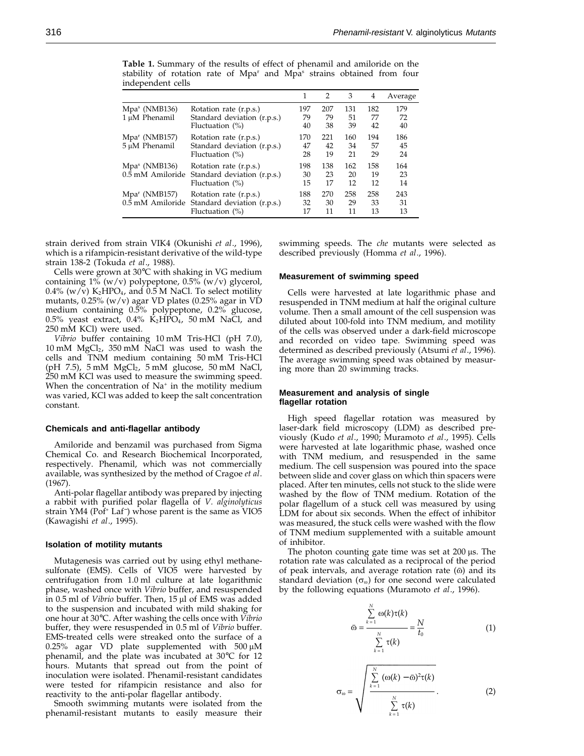|                                            |                                                                                              |                 | $\mathcal{P}$   | 3               | 4               | Average         |
|--------------------------------------------|----------------------------------------------------------------------------------------------|-----------------|-----------------|-----------------|-----------------|-----------------|
| Mpa <sup>s</sup> (NMB136)<br>1 μM Phenamil | Rotation rate (r.p.s.)<br>Standard deviation (r.p.s.)<br>Fluctuation $(\%)$                  | 197<br>79<br>40 | 207<br>79<br>38 | 131<br>51<br>39 | 182<br>77<br>42 | 179<br>72<br>40 |
| Mpa <sup>r</sup> (NMB157)<br>5 μM Phenamil | Rotation rate (r.p.s.)<br>Standard deviation (r.p.s.)<br>Fluctuation $(\%)$                  | 170<br>47<br>28 | 221<br>42<br>19 | 160<br>34<br>21 | 194<br>57<br>29 | 186<br>45<br>24 |
| $Mpas$ (NMB136)<br>0.5 mM Amiloride        | Rotation rate (r.p.s.)<br>Standard deviation (r.p.s.)<br>Fluctuation $(\%)$                  | 198<br>30<br>15 | 138<br>23<br>17 | 162<br>20<br>12 | 158<br>19<br>12 | 164<br>23<br>14 |
| $Mpar$ (NMB157)                            | Rotation rate (r.p.s.)<br>0.5 mM Amiloride Standard deviation (r.p.s.)<br>Fluctuation $(\%)$ | 188<br>32<br>17 | 270<br>30<br>11 | 258<br>29<br>11 | 258<br>33<br>13 | 243<br>31<br>13 |

**Table 1.** Summary of the results of effect of phenamil and amiloride on the stability of rotation rate of Mpa<sup>r</sup> and Mpa<sup>s</sup> strains obtained from four independent cells

strain derived from strain VIK4 (Okunishi *et al*., 1996), which is a rifampicin-resistant derivative of the wild-type strain 138-2 (Tokuda *et al*., 1988).

Cells were grown at 30°C with shaking in VG medium containing  $1\%$  (w/v) polypeptone,  $0.5\%$  (w/v) glycerol,  $0.4\%$  (w/v) K<sub>2</sub>HPO<sub>4</sub>, and 0.5 M NaCl. To select motility mutants, 0.25% (w/v) agar VD plates (0.25% agar in VD medium containing 0.5% polypeptone, 0.2% glucose, 0.5% yeast extract, 0.4%  $\overline{K}_2$ HPO<sub>4</sub>, 50 mM NaCl, and 250 mM KCl) were used.

*Vibrio* buffer containing 10 mM Tris-HCl (pH 7.0), 10 mM MgCl2, 350 mM NaCl was used to wash the cells and TNM medium containing 50 mM Tris-HCl (pH  $7.5$ ),  $5 \text{ mM } MgCl<sub>2</sub>$ ,  $5 \text{ mM } glucose$ ,  $50 \text{ mM } NaCl$ , 250 mM KCl was used to measure the swimming speed. When the concentration of  $Na<sup>+</sup>$  in the motility medium was varied, KCl was added to keep the salt concentration constant.

#### **Chemicals and anti-flagellar antibody**

Amiloride and benzamil was purchased from Sigma Chemical Co. and Research Biochemical Incorporated, respectively. Phenamil, which was not commercially available, was synthesized by the method of Cragoe *et al*. (1967).

Anti-polar flagellar antibody was prepared by injecting a rabbit with purified polar flagella of *V. alginolyticus* strain YM4 (Pot<sup>+</sup> Laf<sup>-</sup>) whose parent is the same as VIO5 (Kawagishi *et al*., 1995).

#### **Isolation of motility mutants**

Mutagenesis was carried out by using ethyl methanesulfonate (EMS). Cells of VIO5 were harvested by centrifugation from 1.0 ml culture at late logarithmic phase, washed once with *Vibrio* buffer, and resuspended in 0.5 ml of *Vibrio* buffer. Then, 15 µl of EMS was added to the suspension and incubated with mild shaking for one hour at 30°C. After washing the cells once with *Vibrio* buffer, they were resuspended in 0.5 ml of *Vibrio* buffer. EMS-treated cells were streaked onto the surface of a 0.25% agar VD plate supplemented with  $500 \mu M$ phenamil, and the plate was incubated at 30°C for 12 hours. Mutants that spread out from the point of inoculation were isolated. Phenamil-resistant candidates were tested for rifampicin resistance and also for reactivity to the anti-polar flagellar antibody.

Smooth swimming mutants were isolated from the phenamil-resistant mutants to easily measure their swimming speeds. The *che* mutants were selected as described previously (Homma *et al*., 1996).

#### **Measurement of swimming speed**

Cells were harvested at late logarithmic phase and resuspended in TNM medium at half the original culture volume. Then a small amount of the cell suspension was diluted about 100-fold into TNM medium, and motility of the cells was observed under a dark-field microscope and recorded on video tape. Swimming speed was determined as described previously (Atsumi *et al*., 1996). The average swimming speed was obtained by measuring more than 20 swimming tracks.

#### **Measurement and analysis of single flagellar rotation**

High speed flagellar rotation was measured by laser-dark field microscopy (LDM) as described previously (Kudo *et al*., 1990; Muramoto *et al*., 1995). Cells were harvested at late logarithmic phase, washed once with TNM medium, and resuspended in the same medium. The cell suspension was poured into the space between slide and cover glass on which thin spacers were placed. After ten minutes, cells not stuck to the slide were washed by the flow of TNM medium. Rotation of the polar flagellum of a stuck cell was measured by using LDM for about six seconds. When the effect of inhibitor was measured, the stuck cells were washed with the flow of TNM medium supplemented with a suitable amount of inhibitor.

The photon counting gate time was set at  $200 \,\mu s$ . The rotation rate was calculated as a reciprocal of the period of peak intervals, and average rotation rate  $(\bar{\omega})$  and its standard deviation ( $\sigma_{\omega}$ ) for one second were calculated by the following equations (Muramoto *et al*., 1996).

$$
\bar{\omega} = \frac{\sum_{k=1}^{N} \omega(k)\tau(k)}{\sum_{k=1}^{N} \tau(k)} = \frac{N}{t_0}
$$
 (1)

$$
\sigma_{\omega} = \sqrt{\frac{\sum_{k=1}^{N} (\omega(k) - \bar{\omega})^2 \tau(k)}{\sum_{k=1}^{N} \tau(k)}}.
$$
 (2)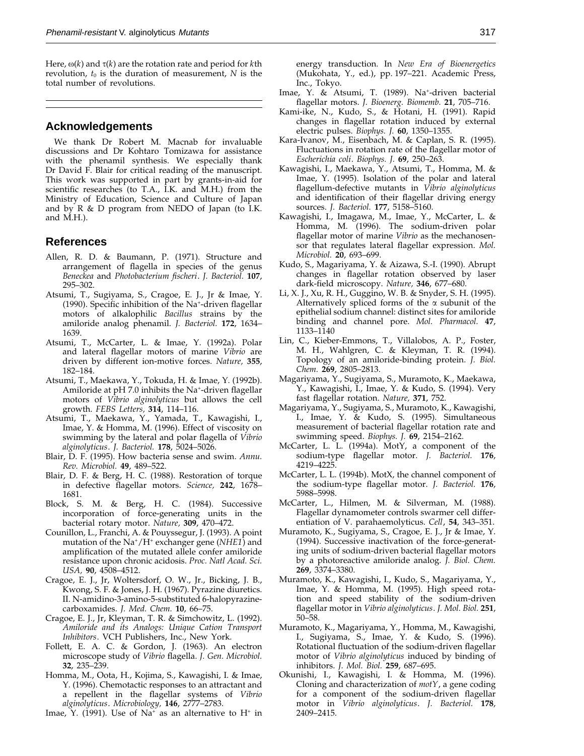Here,  $\omega(k)$  and  $\tau(k)$  are the rotation rate and period for *k*th revolution,  $t_0$  is the duration of measurement,  $N$  is the total number of revolutions.

#### **Acknowledgements**

We thank Dr Robert M. Macnab for invaluable discussions and Dr Kohtaro Tomizawa for assistance with the phenamil synthesis. We especially thank Dr David F. Blair for critical reading of the manuscript. This work was supported in part by grants-in-aid for scientific researches (to T.A., I.K. and M.H.) from the Ministry of Education, Science and Culture of Japan and by R & D program from NEDO of Japan (to I.K. and M.H.).

#### **References**

- Allen, R. D. & Baumann, P. (1971). Structure and arrangement of flagella in species of the genus *Beneckea* and *Photobacterium fischeri*. *J. Bacteriol.* **107**, 295–302.
- Atsumi, T., Sugiyama, S., Cragoe, E. J., Jr & Imae, Y. (1990). Specific inhibition of the Na+-driven flagellar motors of alkalophilic *Bacillus* strains by the amiloride analog phenamil. *J. Bacteriol.* **172**, 1634– 1639.
- Atsumi, T., McCarter, L. & Imae, Y. (1992a). Polar and lateral flagellar motors of marine *Vibrio* are driven by different ion-motive forces. *Nature,* **355**, 182–184.
- Atsumi, T., Maekawa, Y., Tokuda, H. & Imae, Y. (1992b). Amiloride at pH 7.0 inhibits the Na+-driven flagellar motors of *Vibrio alginolyticus* but allows the cell growth. *FEBS Letters,* **314**, 114–116.
- Atsumi, T., Maekawa, Y., Yamada, T., Kawagishi, I., Imae, Y. & Homma, M. (1996). Effect of viscosity on swimming by the lateral and polar flagella of *Vibrio alginolyticus*. *J. Bacteriol.* **178**, 5024–5026.
- Blair, D. F. (1995). How bacteria sense and swim. *Annu. Rev. Microbiol.* **49**, 489–522.
- Blair, D. F. & Berg, H. C. (1988). Restoration of torque in defective flagellar motors. *Science,* **242**, 1678– 1681.
- Block, S. M. & Berg, H. C. (1984). Successive incorporation of force-generating units in the bacterial rotary motor. *Nature,* **309**, 470–472.
- Counillon, L., Franchi, A. & Pouyssegur, J. (1993). A point mutation of the Na+/H+ exchanger gene (*NHE1*) and amplification of the mutated allele confer amiloride resistance upon chronic acidosis. *Proc. Natl Acad. Sci. USA,* **90**, 4508–4512.
- Cragoe, E. J., Jr, Woltersdorf, O. W., Jr., Bicking, J. B., Kwong, S. F. & Jones, J. H. (1967). Pyrazine diuretics. II. N-amidino-3-amino-5-substituted 6-halopyrazinecarboxamides. *J. Med. Chem.* **10**, 66–75.
- Cragoe, E. J., Jr, Kleyman, T. R. & Simchowitz, L. (1992). *Amiloride and its Analogs: Unique Cation Transport Inhibitors*. VCH Publishers, Inc., New York.
- Follett, E. A. C. & Gordon, J. (1963). An electron microscope study of *Vibrio* flagella. *J. Gen. Microbiol.* **32**, 235–239.
- Homma, M., Oota, H., Kojima, S., Kawagishi, I. & Imae, Y. (1996). Chemotactic responses to an attractant and a repellent in the flagellar systems of *Vibrio alginolyticus*. *Microbiology,* **146**, 2777–2783.

Imae, Y. (1991). Use of  $Na<sup>+</sup>$  as an alternative to H<sup>+</sup> in

energy transduction. In *New Era of Bioenergetics* (Mukohata, Y., ed.), pp. 197–221. Academic Press, Inc., Tokyo.

- Imae, Y. & Atsumi, T. (1989). Na<sup>+</sup>-driven bacterial flagellar motors. *J. Bioenerg. Biomemb.* **21**, 705–716.
- Kami-ike, N., Kudo, S., & Hotani, H. (1991). Rapid changes in flagellar rotation induced by external electric pulses. *Biophys. J.* **60**, 1350–1355.
- Kara-Ivanov, M., Eisenbach, M. & Caplan, S. R. (1995). Fluctuations in rotation rate of the flagellar motor of *Escherichia coli*. *Biophys. J.* **69**, 250–263.
- Kawagishi, I., Maekawa, Y., Atsumi, T., Homma, M. & Imae, Y. (1995). Isolation of the polar and lateral flagellum-defective mutants in *Vibrio alginolyticus* and identification of their flagellar driving energy sources. *J. Bacteriol.* **177**, 5158–5160.
- Kawagishi, I., Imagawa, M., Imae, Y., McCarter, L. & Homma, M. (1996). The sodium-driven polar flagellar motor of marine *Vibrio* as the mechanosensor that regulates lateral flagellar expression. *Mol. Microbiol.* **20**, 693–699.
- Kudo, S., Magariyama, Y. & Aizawa, S.-I. (1990). Abrupt changes in flagellar rotation observed by laser dark-field microscopy. *Nature,* **346**, 677–680.
- Li, X. J., Xu, R. H., Guggino, W. B. & Snyder, S. H. (1995). Alternatively spliced forms of the  $\alpha$  subunit of the epithelial sodium channel: distinct sites for amiloride binding and channel pore. *Mol. Pharmacol.* **47**, 1133–1140
- Lin, C., Kieber-Emmons, T., Villalobos, A. P., Foster, M. H., Wahlgren, C. & Kleyman, T. R. (1994). Topology of an amiloride-binding protein. *J. Biol. Chem.* **269**, 2805–2813.
- Magariyama, Y., Sugiyama, S., Muramoto, K., Maekawa, Y., Kawagishi, I., Imae, Y. & Kudo, S. (1994). Very fast flagellar rotation. *Nature,* **371**, 752.
- Magariyama, Y., Sugiyama, S., Muramoto, K., Kawagishi, I., Imae, Y. & Kudo, S. (1995). Simultaneous measurement of bacterial flagellar rotation rate and swimming speed. *Biophys. J.* **69**, 2154–2162.
- McCarter, L. L. (1994a). MotY, a component of the sodium-type flagellar motor. *J. Bacteriol.* **176**, 4219–4225.
- McCarter, L. L. (1994b). MotX, the channel component of the sodium-type flagellar motor. *J. Bacteriol.* **176**, 5988–5998.
- McCarter, L., Hilmen, M. & Silverman, M. (1988). Flagellar dynamometer controls swarmer cell differentiation of V. parahaemolyticus. *Cell*, **54**, 343–351.
- Muramoto, K., Sugiyama, S., Cragoe, E. J., Jr & Imae, Y. (1994). Successive inactivation of the force-generating units of sodium-driven bacterial flagellar motors by a photoreactive amiloride analog. *J. Biol. Chem.* **269**, 3374–3380.
- Muramoto, K., Kawagishi, I., Kudo, S., Magariyama, Y., Imae, Y. & Homma, M. (1995). High speed rotation and speed stability of the sodium-driven flagellar motor in *Vibrio alginolyticus*. *J. Mol. Biol.* **251**, 50–58.
- Muramoto, K., Magariyama, Y., Homma, M., Kawagishi, I., Sugiyama, S., Imae, Y. & Kudo, S. (1996). Rotational fluctuation of the sodium-driven flagellar motor of *Vibrio alginolyticus* induced by binding of inhibitors. *J. Mol. Biol.* **259**, 687–695.
- Okunishi, I., Kawagishi, I. & Homma, M. (1996). Cloning and characterization of *motY*, a gene coding for a component of the sodium-driven flagellar motor in *Vibrio alginolyticus*. *J. Bacteriol.* **178**, 2409–2415.